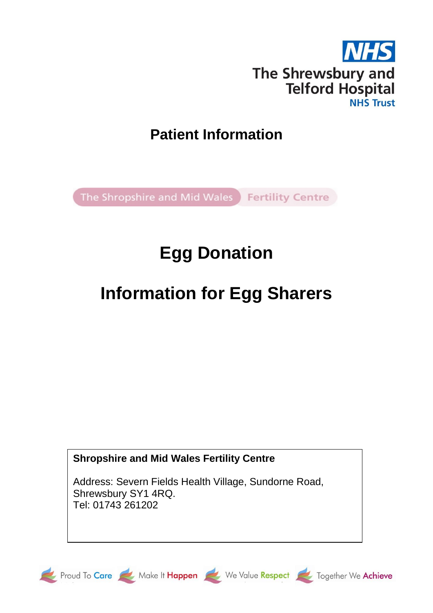

### **Patient Information**

The Shropshire and Mid Wales Fertility Centre

## **Egg Donation**

# **Information for Egg Sharers**

### **Shropshire and Mid Wales Fertility Centre**

Address: Severn Fields Health Village, Sundorne Road, Shrewsbury SY1 4RQ. Tel: 01743 261202







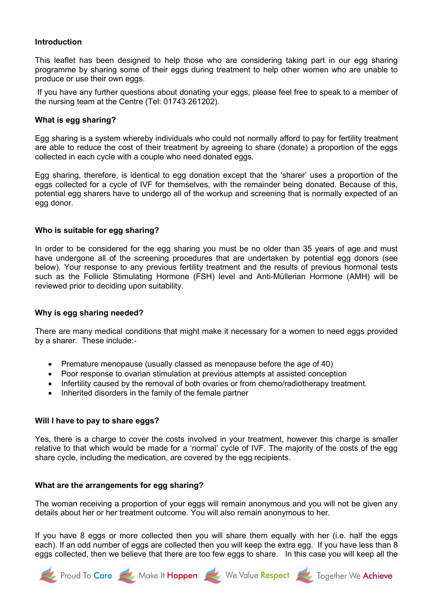#### **Introduction**

This leaflet has been designed to help those who are considering taking part in our egg sharing programme by sharing some of their eggs during treatment to help other women who are unable to produce or use their own eggs.

If you have any further questions about donating your eggs, please feel free to speak to a member of the nursing team at the Centre (Tel: 01743 261202).

#### **What is egg sharing?**

Egg sharing is a system whereby individuals who could not normally afford to pay for fertility treatment are able to reduce the cost of their treatment by agreeing to share (donate) a proportion of the eggs collected in each cycle with a couple who need donated eggs.

Egg sharing, therefore, is identical to egg donation except that the 'sharer' uses a proportion of the eggs collected for a cycle of IVF for themselves, with the remainder being donated. Because of this, potential egg sharers have to undergo all of the workup and screening that is normally expected of an egg donor.

#### **Who is suitable for egg sharing?**

In order to be considered for the egg sharing you must be no older than 35 years of age and must have undergone all of the screening procedures that are undertaken by potential egg donors (see below). Your response to any previous fertility treatment and the results of previous hormonal tests such as the Follicle Stimulating Hormone (FSH) level and Anti-Müllerian Hormone (AMH) will be reviewed prior to deciding upon suitability.

#### **Why is egg sharing needed?**

There are many medical conditions that might make it necessary for a women to need eggs provided by a sharer. These include:-

- Premature menopause (usually classed as menopause before the age of 40)
- Poor response to ovarian stimulation at previous attempts at assisted conception
- Infertility caused by the removal of both ovaries or from chemo/radiotherapy treatment.
- Inherited disorders in the family of the female partner

#### **Will I have to pay to share eggs?**

Yes, there is a charge to cover the costs involved in your treatment, however this charge is smaller relative to that which would be made for a 'normal' cycle of IVF. The majority of the costs of the egg share cycle, including the medication, are covered by the egg recipients.

#### **What are the arrangements for egg sharing?**

The woman receiving a proportion of your eggs will remain anonymous and you will not be given any details about her or her treatment outcome. You will also remain anonymous to her.

If you have 8 eggs or more collected then you will share them equally with her (i.e. half the eggs each). If an odd number of eggs are collected then you will keep the extra egg. If you have less than 8 eggs collected, then we believe that there are too few eggs to share. In this case you will keep all the

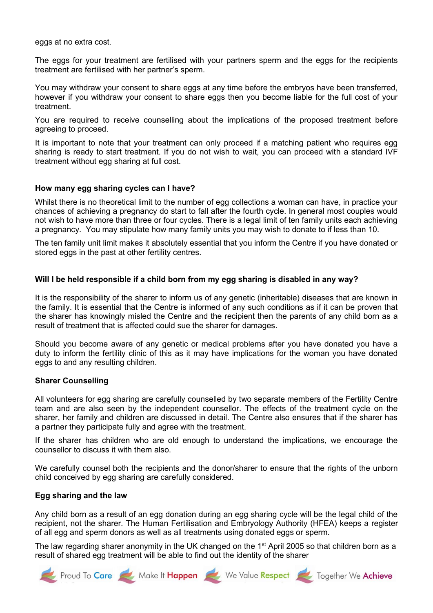eggs at no extra cost.

The eggs for your treatment are fertilised with your partners sperm and the eggs for the recipients treatment are fertilised with her partner's sperm.

You may withdraw your consent to share eggs at any time before the embryos have been transferred, however if you withdraw your consent to share eggs then you become liable for the full cost of your treatment.

You are required to receive counselling about the implications of the proposed treatment before agreeing to proceed.

It is important to note that your treatment can only proceed if a matching patient who requires egg sharing is ready to start treatment. If you do not wish to wait, you can proceed with a standard IVF treatment without egg sharing at full cost.

#### **How many egg sharing cycles can I have?**

Whilst there is no theoretical limit to the number of egg collections a woman can have, in practice your chances of achieving a pregnancy do start to fall after the fourth cycle. In general most couples would not wish to have more than three or four cycles. There is a legal limit of ten family units each achieving a pregnancy. You may stipulate how many family units you may wish to donate to if less than 10.

The ten family unit limit makes it absolutely essential that you inform the Centre if you have donated or stored eggs in the past at other fertility centres.

#### **Will I be held responsible if a child born from my egg sharing is disabled in any way?**

It is the responsibility of the sharer to inform us of any genetic (inheritable) diseases that are known in the family. It is essential that the Centre is informed of any such conditions as if it can be proven that the sharer has knowingly misled the Centre and the recipient then the parents of any child born as a result of treatment that is affected could sue the sharer for damages.

Should you become aware of any genetic or medical problems after you have donated you have a duty to inform the fertility clinic of this as it may have implications for the woman you have donated eggs to and any resulting children.

#### **Sharer Counselling**

All volunteers for egg sharing are carefully counselled by two separate members of the Fertility Centre team and are also seen by the independent counsellor. The effects of the treatment cycle on the sharer, her family and children are discussed in detail. The Centre also ensures that if the sharer has a partner they participate fully and agree with the treatment.

If the sharer has children who are old enough to understand the implications, we encourage the counsellor to discuss it with them also.

We carefully counsel both the recipients and the donor/sharer to ensure that the rights of the unborn child conceived by egg sharing are carefully considered.

#### **Egg sharing and the law**

Any child born as a result of an egg donation during an egg sharing cycle will be the legal child of the recipient, not the sharer. The Human Fertilisation and Embryology Authority (HFEA) keeps a register of all egg and sperm donors as well as all treatments using donated eggs or sperm.

The law regarding sharer anonymity in the UK changed on the 1<sup>st</sup> April 2005 so that children born as a result of shared egg treatment will be able to find out the identity of the sharer

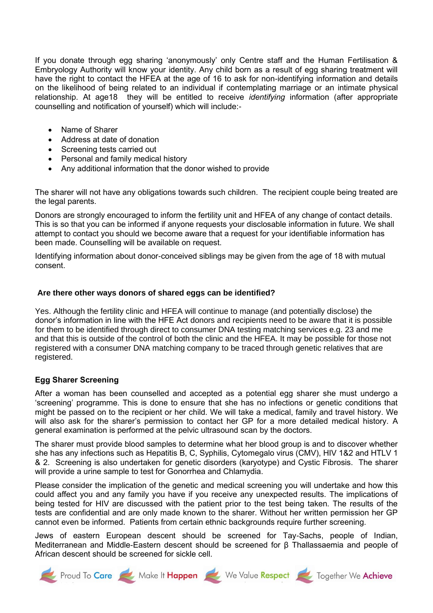If you donate through egg sharing 'anonymously' only Centre staff and the Human Fertilisation & Embryology Authority will know your identity. Any child born as a result of egg sharing treatment will have the right to contact the HFEA at the age of 16 to ask for non-identifying information and details on the likelihood of being related to an individual if contemplating marriage or an intimate physical relationship. At age18 they will be entitled to receive *identifying* information (after appropriate counselling and notification of yourself) which will include:-

- Name of Sharer
- Address at date of donation
- Screening tests carried out
- Personal and family medical history
- Any additional information that the donor wished to provide

The sharer will not have any obligations towards such children. The recipient couple being treated are the legal parents.

Donors are strongly encouraged to inform the fertility unit and HFEA of any change of contact details. This is so that you can be informed if anyone requests your disclosable information in future. We shall attempt to contact you should we become aware that a request for your identifiable information has been made. Counselling will be available on request.

Identifying information about donor-conceived siblings may be given from the age of 18 with mutual consent.

#### **Are there other ways donors of shared eggs can be identified?**

Yes. Although the fertility clinic and HFEA will continue to manage (and potentially disclose) the donor's information in line with the HFE Act donors and recipients need to be aware that it is possible for them to be identified through direct to consumer DNA testing matching services e.g. 23 and me and that this is outside of the control of both the clinic and the HFEA. It may be possible for those not registered with a consumer DNA matching company to be traced through genetic relatives that are registered.

#### **Egg Sharer Screening**

After a woman has been counselled and accepted as a potential egg sharer she must undergo a 'screening' programme. This is done to ensure that she has no infections or genetic conditions that might be passed on to the recipient or her child. We will take a medical, family and travel history. We will also ask for the sharer's permission to contact her GP for a more detailed medical history. A general examination is performed at the pelvic ultrasound scan by the doctors.

The sharer must provide blood samples to determine what her blood group is and to discover whether she has any infections such as Hepatitis B, C, Syphilis, Cytomegalo virus (CMV), HIV 1&2 and HTLV 1 & 2. Screening is also undertaken for genetic disorders (karyotype) and Cystic Fibrosis. The sharer will provide a urine sample to test for Gonorrhea and Chlamydia.

Please consider the implication of the genetic and medical screening you will undertake and how this could affect you and any family you have if you receive any unexpected results. The implications of being tested for HIV are discussed with the patient prior to the test being taken. The results of the tests are confidential and are only made known to the sharer. Without her written permission her GP cannot even be informed. Patients from certain ethnic backgrounds require further screening.

Jews of eastern European descent should be screened for Tay-Sachs, people of Indian, Mediterranean and Middle-Eastern descent should be screened for β Thallassaemia and people of African descent should be screened for sickle cell.

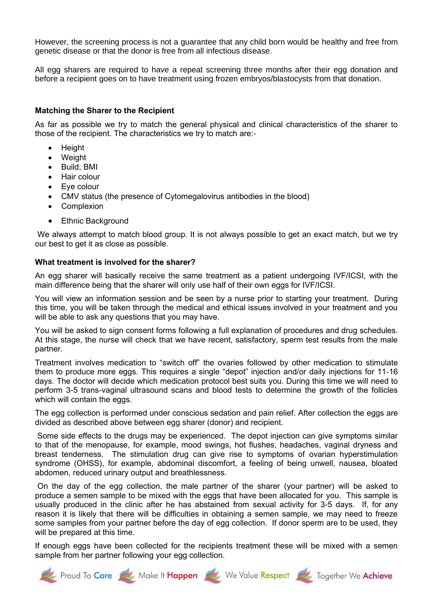However, the screening process is not a guarantee that any child born would be healthy and free from genetic disease or that the donor is free from all infectious disease.

All egg sharers are required to have a repeat screening three months after their egg donation and before a recipient goes on to have treatment using frozen embryos/blastocysts from that donation.

#### **Matching the Sharer to the Recipient**

As far as possible we try to match the general physical and clinical characteristics of the sharer to those of the recipient. The characteristics we try to match are:-

- Height
- Weight
- Build, BMI
- Hair colour
- Eye colour
- CMV status (the presence of Cytomegalovirus antibodies in the blood)
- **Complexion**
- Ethnic Background

We always attempt to match blood group. It is not always possible to get an exact match, but we try our best to get it as close as possible.

#### **What treatment is involved for the sharer?**

An egg sharer will basically receive the same treatment as a patient undergoing IVF/ICSI, with the main difference being that the sharer will only use half of their own eggs for IVF/ICSI.

You will view an information session and be seen by a nurse prior to starting your treatment. During this time, you will be taken through the medical and ethical issues involved in your treatment and you will be able to ask any questions that you may have.

You will be asked to sign consent forms following a full explanation of procedures and drug schedules. At this stage, the nurse will check that we have recent, satisfactory, sperm test results from the male partner.

Treatment involves medication to "switch off" the ovaries followed by other medication to stimulate them to produce more eggs. This requires a single "depot" injection and/or daily injections for 11-16 days. The doctor will decide which medication protocol best suits you. During this time we will need to perform 3-5 trans-vaginal ultrasound scans and blood tests to determine the growth of the follicles which will contain the eggs.

The egg collection is performed under conscious sedation and pain relief. After collection the eggs are divided as described above between egg sharer (donor) and recipient.

Some side effects to the drugs may be experienced. The depot injection can give symptoms similar to that of the menopause, for example, mood swings, hot flushes, headaches, vaginal dryness and breast tenderness. The stimulation drug can give rise to symptoms of ovarian hyperstimulation syndrome (OHSS), for example, abdominal discomfort, a feeling of being unwell, nausea, bloated abdomen, reduced urinary output and breathlessness.

On the day of the egg collection, the male partner of the sharer (your partner) will be asked to produce a semen sample to be mixed with the eggs that have been allocated for you. This sample is usually produced in the clinic after he has abstained from sexual activity for 3-5 days. If, for any reason it is likely that there will be difficulties in obtaining a semen sample, we may need to freeze some samples from your partner before the day of egg collection. If donor sperm are to be used, they will be prepared at this time.

If enough eggs have been collected for the recipients treatment these will be mixed with a semen sample from her partner following your egg collection.

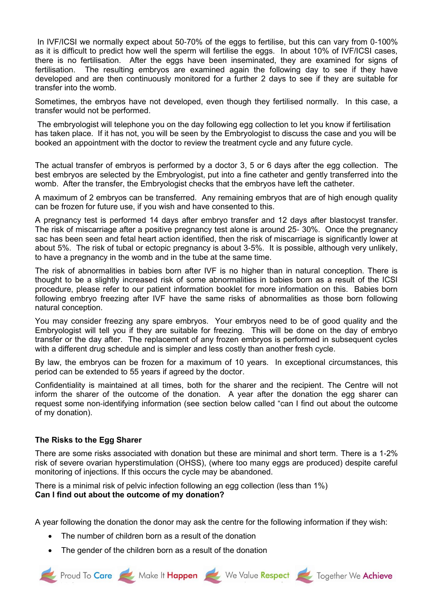In IVF/ICSI we normally expect about 50-70% of the eggs to fertilise, but this can vary from 0-100% as it is difficult to predict how well the sperm will fertilise the eggs. In about 10% of IVF/ICSI cases, there is no fertilisation. After the eggs have been inseminated, they are examined for signs of fertilisation. The resulting embryos are examined again the following day to see if they have developed and are then continuously monitored for a further 2 days to see if they are suitable for transfer into the womb.

Sometimes, the embryos have not developed, even though they fertilised normally. In this case, a transfer would not be performed.

The embryologist will telephone you on the day following egg collection to let you know if fertilisation has taken place. If it has not, you will be seen by the Embryologist to discuss the case and you will be booked an appointment with the doctor to review the treatment cycle and any future cycle.

The actual transfer of embryos is performed by a doctor 3, 5 or 6 days after the egg collection. The best embryos are selected by the Embryologist, put into a fine catheter and gently transferred into the womb. After the transfer, the Embryologist checks that the embryos have left the catheter.

A maximum of 2 embryos can be transferred. Any remaining embryos that are of high enough quality can be frozen for future use, if you wish and have consented to this.

A pregnancy test is performed 14 days after embryo transfer and 12 days after blastocyst transfer. The risk of miscarriage after a positive pregnancy test alone is around 25- 30%. Once the pregnancy sac has been seen and fetal heart action identified, then the risk of miscarriage is significantly lower at about 5%. The risk of tubal or ectopic pregnancy is about 3-5%. It is possible, although very unlikely, to have a pregnancy in the womb and in the tube at the same time.

The risk of abnormalities in babies born after IVF is no higher than in natural conception. There is thought to be a slightly increased risk of some abnormalities in babies born as a result of the ICSI procedure, please refer to our patient information booklet for more information on this. Babies born following embryo freezing after IVF have the same risks of abnormalities as those born following natural conception.

You may consider freezing any spare embryos. Your embryos need to be of good quality and the Embryologist will tell you if they are suitable for freezing. This will be done on the day of embryo transfer or the day after. The replacement of any frozen embryos is performed in subsequent cycles with a different drug schedule and is simpler and less costly than another fresh cycle.

By law, the embryos can be frozen for a maximum of 10 years. In exceptional circumstances, this period can be extended to 55 years if agreed by the doctor.

Confidentiality is maintained at all times, both for the sharer and the recipient. The Centre will not inform the sharer of the outcome of the donation. A year after the donation the egg sharer can request some non-identifying information (see section below called "can I find out about the outcome of my donation).

#### **The Risks to the Egg Sharer**

There are some risks associated with donation but these are minimal and short term. There is a 1-2% risk of severe ovarian hyperstimulation (OHSS), (where too many eggs are produced) despite careful monitoring of injections. If this occurs the cycle may be abandoned.

There is a minimal risk of pelvic infection following an egg collection (less than 1%) **Can I find out about the outcome of my donation?**

A year following the donation the donor may ask the centre for the following information if they wish:

- The number of children born as a result of the donation
- The gender of the children born as a result of the donation

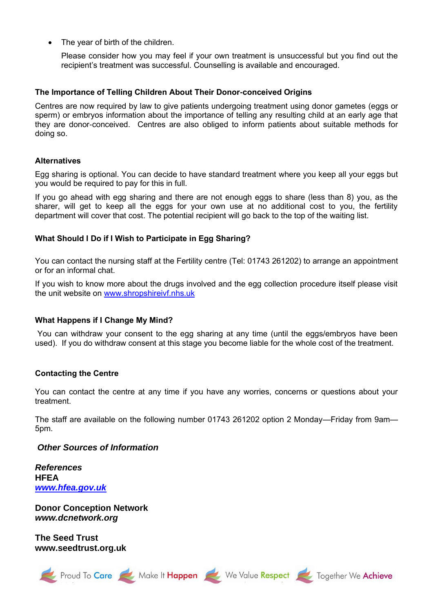• The year of birth of the children.

Please consider how you may feel if your own treatment is unsuccessful but you find out the recipient's treatment was successful. Counselling is available and encouraged.

#### **The Importance of Telling Children About Their Donor-conceived Origins**

Centres are now required by law to give patients undergoing treatment using donor gametes (eggs or sperm) or embryos information about the importance of telling any resulting child at an early age that they are donor-conceived. Centres are also obliged to inform patients about suitable methods for doing so.

#### **Alternatives**

Egg sharing is optional. You can decide to have standard treatment where you keep all your eggs but you would be required to pay for this in full.

If you go ahead with egg sharing and there are not enough eggs to share (less than 8) you, as the sharer, will get to keep all the eggs for your own use at no additional cost to you, the fertility department will cover that cost. The potential recipient will go back to the top of the waiting list.

#### **What Should I Do if I Wish to Participate in Egg Sharing?**

You can contact the nursing staff at the Fertility centre (Tel: 01743 261202) to arrange an appointment or for an informal chat.

If you wish to know more about the drugs involved and the egg collection procedure itself please visit the unit website on [www.shropshireivf.nhs.uk](http://www.shropshireivf.nhs.uk/) 

#### **What Happens if I Change My Mind?**

You can withdraw your consent to the egg sharing at any time (until the eggs/embryos have been used). If you do withdraw consent at this stage you become liable for the whole cost of the treatment.

#### **Contacting the Centre**

You can contact the centre at any time if you have any worries, concerns or questions about your treatment.

The staff are available on the following number 01743 261202 option 2 Monday—Friday from 9am— 5pm.

#### *Other Sources of Information*

*References* **HFEA** *[www.hfea.gov.uk](http://www.hfea.gov.uk/)*

**Donor Conception Network** *www.dcnetwork.org*

**The Seed Trust www.seedtrust.org.uk**